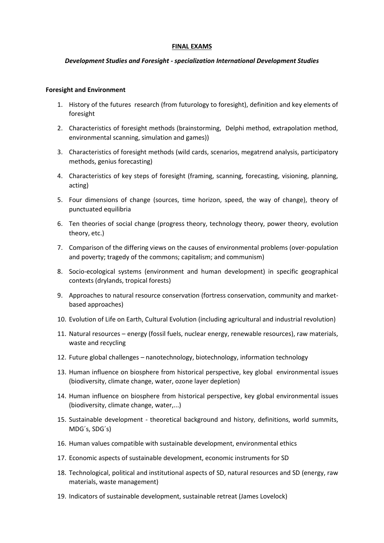### **FINAL EXAMS**

# *Development Studies and Foresight - specialization International Development Studies*

### **Foresight and Environment**

- 1. History of the futures research (from futurology to foresight), definition and key elements of foresight
- 2. Characteristics of foresight methods (brainstorming, Delphi method, extrapolation method, environmental scanning, simulation and games))
- 3. Characteristics of foresight methods (wild cards, scenarios, megatrend analysis, participatory methods, genius forecasting)
- 4. Characteristics of key steps of foresight (framing, scanning, forecasting, visioning, planning, acting)
- 5. Four dimensions of change (sources, time horizon, speed, the way of change), theory of punctuated equilibria
- 6. Ten theories of social change (progress theory, technology theory, power theory, evolution theory, etc.)
- 7. Comparison of the differing views on the causes of environmental problems (over-population and poverty; tragedy of the commons; capitalism; and communism)
- 8. Socio-ecological systems (environment and human development) in specific geographical contexts (drylands, tropical forests)
- 9. Approaches to natural resource conservation (fortress conservation, community and marketbased approaches)
- 10. Evolution of Life on Earth, Cultural Evolution (including agricultural and industrial revolution)
- 11. Natural resources energy (fossil fuels, nuclear energy, renewable resources), raw materials, waste and recycling
- 12. Future global challenges nanotechnology, biotechnology, information technology
- 13. Human influence on biosphere from historical perspective, key global environmental issues (biodiversity, climate change, water, ozone layer depletion)
- 14. Human influence on biosphere from historical perspective, key global environmental issues (biodiversity, climate change, water,...)
- 15. Sustainable development theoretical background and history, definitions, world summits, MDG´s, SDG´s)
- 16. Human values compatible with sustainable development, environmental ethics
- 17. Economic aspects of sustainable development, economic instruments for SD
- 18. Technological, political and institutional aspects of SD, natural resources and SD (energy, raw materials, waste management)
- 19. Indicators of sustainable development, sustainable retreat (James Lovelock)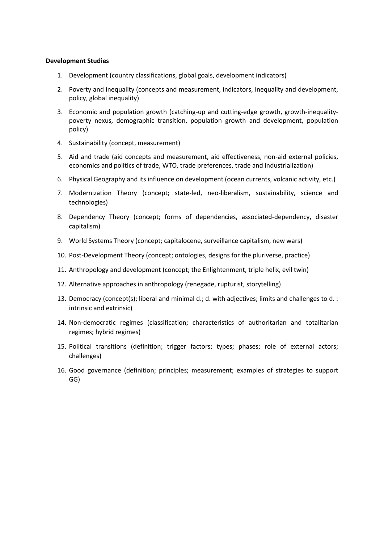# **Development Studies**

- 1. Development (country classifications, global goals, development indicators)
- 2. Poverty and inequality (concepts and measurement, indicators, inequality and development, policy, global inequality)
- 3. Economic and population growth (catching-up and cutting-edge growth, growth-inequalitypoverty nexus, demographic transition, population growth and development, population policy)
- 4. Sustainability (concept, measurement)
- 5. Aid and trade (aid concepts and measurement, aid effectiveness, non-aid external policies, economics and politics of trade, WTO, trade preferences, trade and industrialization)
- 6. Physical Geography and its influence on development (ocean currents, volcanic activity, etc.)
- 7. Modernization Theory (concept; state-led, neo-liberalism, sustainability, science and technologies)
- 8. Dependency Theory (concept; forms of dependencies, associated-dependency, disaster capitalism)
- 9. World Systems Theory (concept; capitalocene, surveillance capitalism, new wars)
- 10. Post-Development Theory (concept; ontologies, designs for the pluriverse, practice)
- 11. Anthropology and development (concept; the Enlightenment, triple helix, evil twin)
- 12. Alternative approaches in anthropology (renegade, rupturist, storytelling)
- 13. Democracy (concept(s); liberal and minimal d.; d. with adjectives; limits and challenges to d. : intrinsic and extrinsic)
- 14. Non-democratic regimes (classification; characteristics of authoritarian and totalitarian regimes; hybrid regimes)
- 15. Political transitions (definition; trigger factors; types; phases; role of external actors; challenges)
- 16. Good governance (definition; principles; measurement; examples of strategies to support GG)